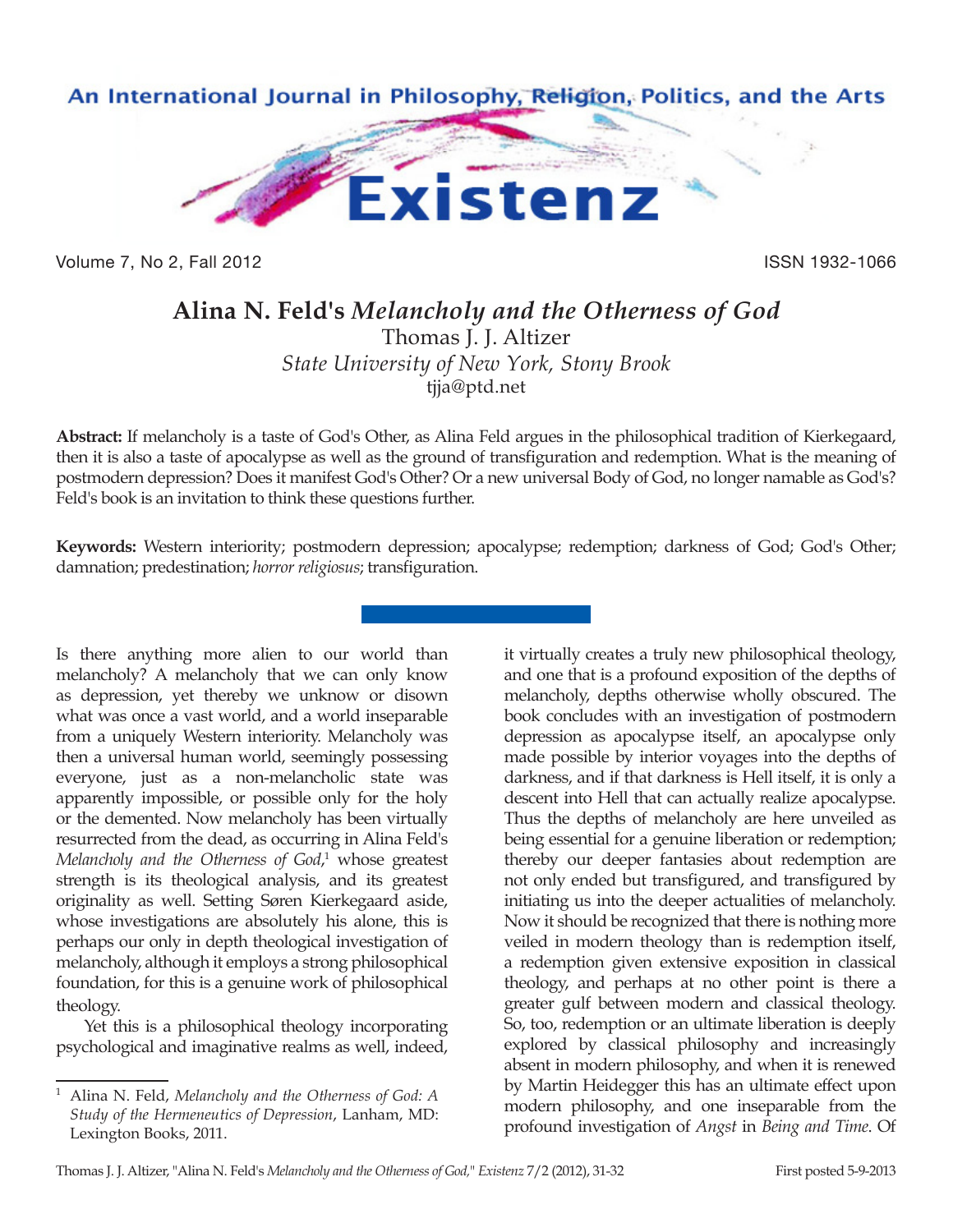

Volume 7, No 2, Fall 2012 **ISSN 1932-1066** 

## **Alina N. Feld's** *Melancholy and the Otherness of God*

Thomas J. J. Altizer *State University of New York, Stony Brook* tjja@ptd.net

**Abstract:** If melancholy is a taste of God's Other, as Alina Feld argues in the philosophical tradition of Kierkegaard, then it is also a taste of apocalypse as well as the ground of transfiguration and redemption. What is the meaning of postmodern depression? Does it manifest God's Other? Or a new universal Body of God, no longer namable as God's? Feld's book is an invitation to think these questions further.

**Keywords:** Western interiority; postmodern depression; apocalypse; redemption; darkness of God; God's Other; damnation; predestination; *horror religiosus*; transfiguration.

Is there anything more alien to our world than melancholy? A melancholy that we can only know as depression, yet thereby we unknow or disown what was once a vast world, and a world inseparable from a uniquely Western interiority. Melancholy was then a universal human world, seemingly possessing everyone, just as a non-melancholic state was apparently impossible, or possible only for the holy or the demented. Now melancholy has been virtually resurrected from the dead, as occurring in Alina Feld's *Melancholy and the Otherness of God*, 1 whose greatest strength is its theological analysis, and its greatest originality as well. Setting Søren Kierkegaard aside, whose investigations are absolutely his alone, this is perhaps our only in depth theological investigation of melancholy, although it employs a strong philosophical foundation, for this is a genuine work of philosophical theology.

Yet this is a philosophical theology incorporating psychological and imaginative realms as well, indeed, it virtually creates a truly new philosophical theology, and one that is a profound exposition of the depths of melancholy, depths otherwise wholly obscured. The book concludes with an investigation of postmodern depression as apocalypse itself, an apocalypse only made possible by interior voyages into the depths of darkness, and if that darkness is Hell itself, it is only a descent into Hell that can actually realize apocalypse. Thus the depths of melancholy are here unveiled as being essential for a genuine liberation or redemption; thereby our deeper fantasies about redemption are not only ended but transfigured, and transfigured by initiating us into the deeper actualities of melancholy. Now it should be recognized that there is nothing more veiled in modern theology than is redemption itself, a redemption given extensive exposition in classical theology, and perhaps at no other point is there a greater gulf between modern and classical theology. So, too, redemption or an ultimate liberation is deeply explored by classical philosophy and increasingly absent in modern philosophy, and when it is renewed by Martin Heidegger this has an ultimate effect upon modern philosophy, and one inseparable from the profound investigation of *Angst* in *Being and Time*. Of

<sup>1</sup> Alina N. Feld, *Melancholy and the Otherness of God: A Study of the Hermeneutics of Depression*, Lanham, MD: Lexington Books, 2011.